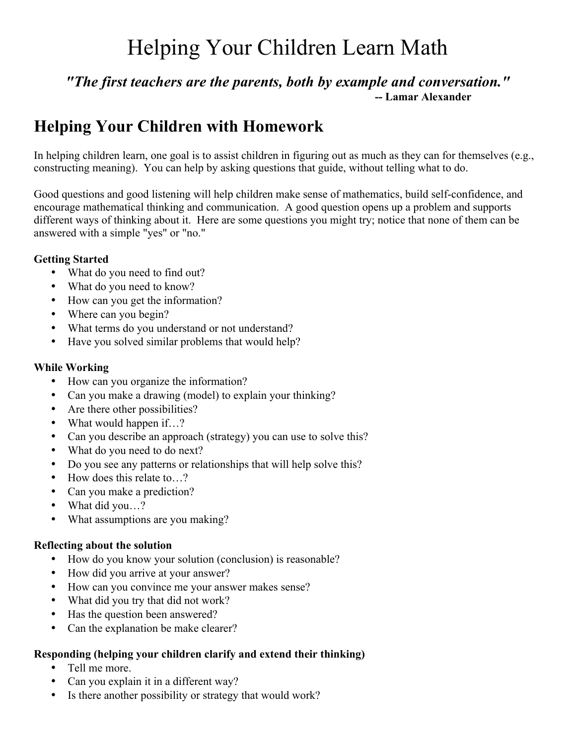# Helping Your Children Learn Math

### *"The first teachers are the parents, both by example and conversation."* **-- Lamar Alexander**

### **Helping Your Children with Homework**

In helping children learn, one goal is to assist children in figuring out as much as they can for themselves (e.g., constructing meaning). You can help by asking questions that guide, without telling what to do.

Good questions and good listening will help children make sense of mathematics, build self-confidence, and encourage mathematical thinking and communication. A good question opens up a problem and supports different ways of thinking about it. Here are some questions you might try; notice that none of them can be answered with a simple "yes" or "no."

#### **Getting Started**

- What do you need to find out?
- What do you need to know?
- How can you get the information?
- Where can you begin?
- What terms do you understand or not understand?
- Have you solved similar problems that would help?

#### **While Working**

- How can you organize the information?
- Can you make a drawing (model) to explain your thinking?
- Are there other possibilities?
- What would happen if…?
- Can you describe an approach (strategy) you can use to solve this?
- What do you need to do next?
- Do you see any patterns or relationships that will help solve this?
- How does this relate to...?
- Can you make a prediction?
- What did you...?
- What assumptions are you making?

#### **Reflecting about the solution**

- How do you know your solution (conclusion) is reasonable?
- How did you arrive at your answer?
- How can you convince me your answer makes sense?
- What did you try that did not work?
- Has the question been answered?
- Can the explanation be make clearer?

#### **Responding (helping your children clarify and extend their thinking)**

- Tell me more.
- Can you explain it in a different way?
- Is there another possibility or strategy that would work?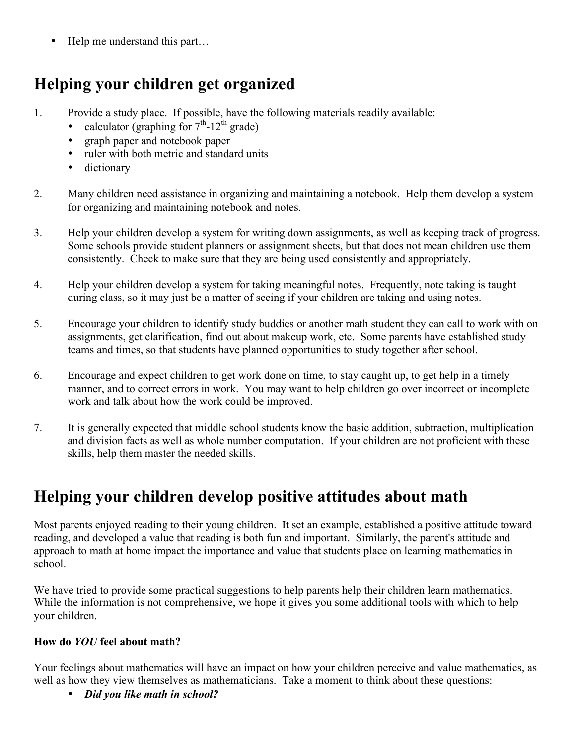Help me understand this part...

### **Helping your children get organized**

- 1. Provide a study place. If possible, have the following materials readily available:
	- calculator (graphing for  $7<sup>th</sup>$ -12<sup>th</sup> grade)
	- graph paper and notebook paper
	- ruler with both metric and standard units
	- dictionary
- 2. Many children need assistance in organizing and maintaining a notebook. Help them develop a system for organizing and maintaining notebook and notes.
- 3. Help your children develop a system for writing down assignments, as well as keeping track of progress. Some schools provide student planners or assignment sheets, but that does not mean children use them consistently. Check to make sure that they are being used consistently and appropriately.
- 4. Help your children develop a system for taking meaningful notes. Frequently, note taking is taught during class, so it may just be a matter of seeing if your children are taking and using notes.
- 5. Encourage your children to identify study buddies or another math student they can call to work with on assignments, get clarification, find out about makeup work, etc. Some parents have established study teams and times, so that students have planned opportunities to study together after school.
- 6. Encourage and expect children to get work done on time, to stay caught up, to get help in a timely manner, and to correct errors in work. You may want to help children go over incorrect or incomplete work and talk about how the work could be improved.
- 7. It is generally expected that middle school students know the basic addition, subtraction, multiplication and division facts as well as whole number computation. If your children are not proficient with these skills, help them master the needed skills.

## **Helping your children develop positive attitudes about math**

Most parents enjoyed reading to their young children. It set an example, established a positive attitude toward reading, and developed a value that reading is both fun and important. Similarly, the parent's attitude and approach to math at home impact the importance and value that students place on learning mathematics in school.

We have tried to provide some practical suggestions to help parents help their children learn mathematics. While the information is not comprehensive, we hope it gives you some additional tools with which to help your children.

#### **How do** *YOU* **feel about math?**

Your feelings about mathematics will have an impact on how your children perceive and value mathematics, as well as how they view themselves as mathematicians. Take a moment to think about these questions:

• *Did you like math in school?*